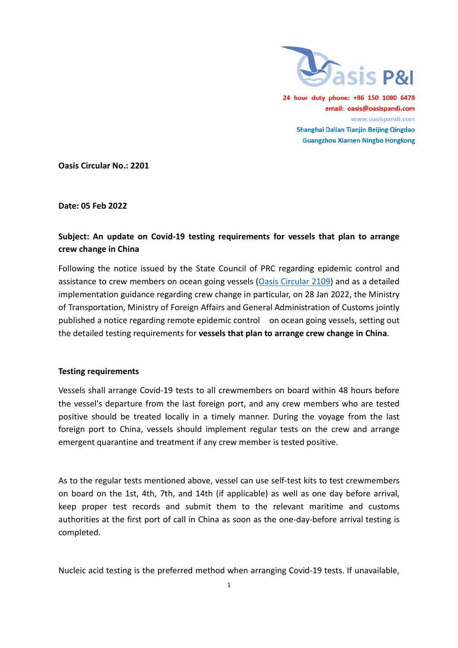

24 hour duty phone: +86 150 1080 6478 email: oasis@oasispandi.com www.oasispandi.com Shanghai Dalian Tianjin Beijing Qingdao **Guangzhou Xiamen Ningbo Hongkong** 

Oasis Circular No.: 2201

Date: 05 Feb 2022

# Subject: An update on Covid-19 testing requirements for vessels that plan to arrange crew change in China

Following the notice issued by the State Council of PRC regarding epidemic control and assistance to crew members on ocean going vessels (Oasis Circular 2109) and as a detailed implementation guidance regarding crew change in particular, on 28 Jan 2022, the Ministry of Transportation, Ministry of Foreign Affairs and General Administration of Customs jointly published a notice regarding remote epidemic control on ocean going vessels, setting out the detailed testing requirements for vessels that plan to arrange crew change in China. mplementation guidance regarding crew change in particular, on 28 Jan 2022, the Minis<br>of Transportation, Ministry of Foreign Affairs and General Administration of Customs joir<br>published a notice regarding remote epidemic c ) and as a detail<br>2022, the Minist<br>of Customs joint<br>vessels, setting o<br>**hange in China**.

### Testing requirements

Vessels shall arrange Covid-19 tests to all crewmembers on board within 48 hours before the vessel's departure from the last foreign port, and any crew members who are tested positive should be treated locally in a timely manner. During the voyage from the last foreign port to China, vessels should implement regular tests on the crew and arrange emergent quarantine and treatment if any crew member is tested positive.

As to the regular tests mentioned above, vessel can use self-test kits to test crewmembers on board on the 1st, 4th, 7th, and 14th (if applicable) as well as one day before arrival, on board on the 1st, 4th, 7th, and 14th (if applicable) as well as one day before arrival,<br>keep proper test records and submit them to the relevant maritime and customs authorities at the first port of call in China as soon as the one-day-before arrival testing is completed. test kits to tes<br>
vell as one da<br>
vant maritim<br>
ne-day-before<br>
Covid-19 test

Nucleic acid testing is the preferred method when arranging Covid-19 tests. If unavailable,